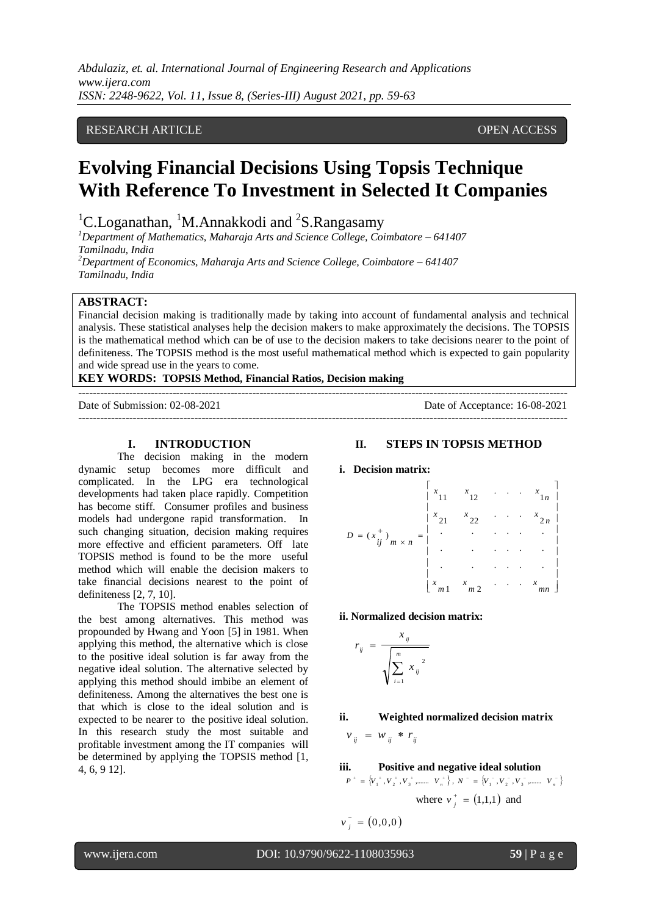*Abdulaziz, et. al. International Journal of Engineering Research and Applications www.ijera.com ISSN: 2248-9622, Vol. 11, Issue 8, (Series-III) August 2021, pp. 59-63*

# RESEARCH ARTICLE **CONSERVERS** OPEN ACCESS

# **Evolving Financial Decisions Using Topsis Technique With Reference To Investment in Selected It Companies**

<sup>1</sup>C.Loganathan, <sup>1</sup>M.Annakkodi and <sup>2</sup>S.Rangasamy

*<sup>1</sup>Department of Mathematics, Maharaja Arts and Science College, Coimbatore – 641407 Tamilnadu, India <sup>2</sup>Department of Economics, Maharaja Arts and Science College, Coimbatore – 641407*

*Tamilnadu, India*

# **ABSTRACT:**

Financial decision making is traditionally made by taking into account of fundamental analysis and technical analysis. These statistical analyses help the decision makers to make approximately the decisions. The TOPSIS is the mathematical method which can be of use to the decision makers to take decisions nearer to the point of definiteness. The TOPSIS method is the most useful mathematical method which is expected to gain popularity and wide spread use in the years to come.

### **KEY WORDS: TOPSIS Method, Financial Ratios, Decision making**

--------------------------------------------------------------------------------------------------------------------------------------- Date of Submission: 02-08-2021 Date of Acceptance: 16-08-2021 ---------------------------------------------------------------------------------------------------------------------------------------

### **I. INTRODUCTION**

The decision making in the modern dynamic setup becomes more difficult and complicated. In the LPG era technological developments had taken place rapidly. Competition has become stiff. Consumer profiles and business models had undergone rapid transformation. In such changing situation, decision making requires more effective and efficient parameters. Off late TOPSIS method is found to be the more useful method which will enable the decision makers to take financial decisions nearest to the point of definiteness [2, 7, 10].

The TOPSIS method enables selection of the best among alternatives. This method was propounded by Hwang and Yoon [5] in 1981. When applying this method, the alternative which is close to the positive ideal solution is far away from the negative ideal solution. The alternative selected by applying this method should imbibe an element of definiteness. Among the alternatives the best one is that which is close to the ideal solution and is expected to be nearer to the positive ideal solution. In this research study the most suitable and profitable investment among the IT companies will be determined by applying the TOPSIS method [1, 4, 6, 9 12].

### **II. STEPS IN TOPSIS METHOD**

## **i. Decision matrix:**



**ii. Normalized decision matrix:**

$$
r_{ij} = \frac{x_{ij}}{\sqrt{\sum_{i=1}^{m} x_{ij}^2}}
$$

# **ii. Weighted normalized decision matrix**

 $v_{ii} = w_{ii} * r_{ii}$ 

**iii. Positive and negative ideal solution**

$$
P^+ = \{V_1^+, V_2^+, V_3^+, \dots, V_n^+\}, N^- = \{V_1^-, V_2^-, V_3^-, \dots, V_n^-\}
$$
  
where  $v_j^+ = (1,1,1)$  and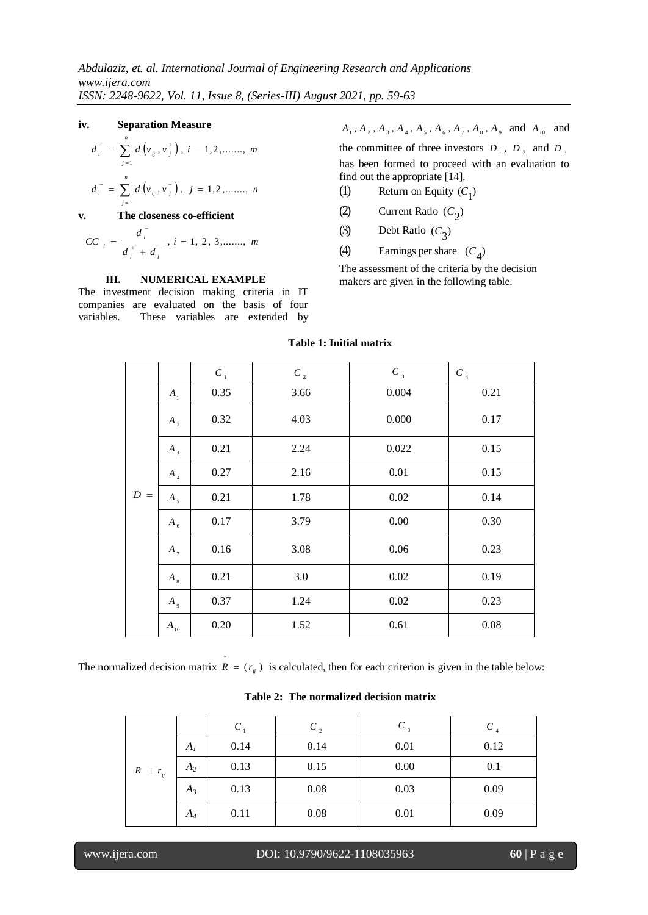### **iv. Separation Measure**

$$
d_i^+ = \sum_{j=1}^n d(v_{ij}, v_j^+), i = 1, 2, \dots, m
$$

$$
d_i^- = \sum_{j=1} d(v_{ij}, v_j^-), j = 1, 2, \dots, n
$$
  
**v** The closeness co-efficient

$$
d_{ij}^T
$$

$$
CC_{i} = \frac{a_{i}}{d_{i}^{+} + d_{i}^{-}}, i = 1, 2, 3, \dots, m
$$

### **III. NUMERICAL EXAMPLE**

The investment decision making criteria in IT companies are evaluated on the basis of four variables. These variables are extended by  $A_1$ ,  $A_2$ ,  $A_3$ ,  $A_4$ ,  $A_5$ ,  $A_6$ ,  $A_7$ ,  $A_8$ ,  $A_9$  and  $A_{10}$  and

the committee of three investors  $D_1$ ,  $D_2$  and  $D_3$ has been formed to proceed with an evaluation to find out the appropriate [14].

- (1) Return on Equity  $(C_1)$
- (2) Current Ratio  $(C_2)$
- (3) Debt Ratio (*C* 3 )
- (4) Earnings per share  $(C_4)$

The assessment of the criteria by the decision makers are given in the following table.

|       |             | $C_{1}$ | $C_{2}$ | $C_{3}$ | $C_{_4}$ |
|-------|-------------|---------|---------|---------|----------|
|       | $A_{1}$     | 0.35    | 3.66    | 0.004   | 0.21     |
|       | $A_{2}$     | 0.32    | 4.03    | 0.000   | 0.17     |
|       | $A_3$       | 0.21    | 2.24    | 0.022   | 0.15     |
|       | $A_{4}$     | 0.27    | 2.16    | 0.01    | 0.15     |
| $D =$ | $A_5$       | 0.21    | 1.78    | 0.02    | 0.14     |
|       | $A_{6}$     | 0.17    | 3.79    | 0.00    | 0.30     |
|       | $A_{7}$     | 0.16    | 3.08    | 0.06    | 0.23     |
|       | $A_{8}$     | 0.21    | 3.0     | 0.02    | 0.19     |
|       | $A_{\rm q}$ | 0.37    | 1.24    | 0.02    | 0.23     |
|       | $A_{10}$    | 0.20    | 1.52    | 0.61    | 0.08     |

# **Table 1: Initial matrix**

The normalized decision matrix  $R = (r_{ij})$  is calculated, then for each criterion is given in the table below:

~

|              |                |      | C,   | $C_{3}$ |      |
|--------------|----------------|------|------|---------|------|
|              | A <sub>I</sub> | 0.14 | 0.14 | 0.01    | 0.12 |
| $R = r_{ij}$ | $A_2$          | 0.13 | 0.15 | 0.00    | 0.1  |
|              | $A_3$          | 0.13 | 0.08 | 0.03    | 0.09 |
|              | $A_4$          | 0.11 | 0.08 | 0.01    | 0.09 |

**Table 2: The normalized decision matrix**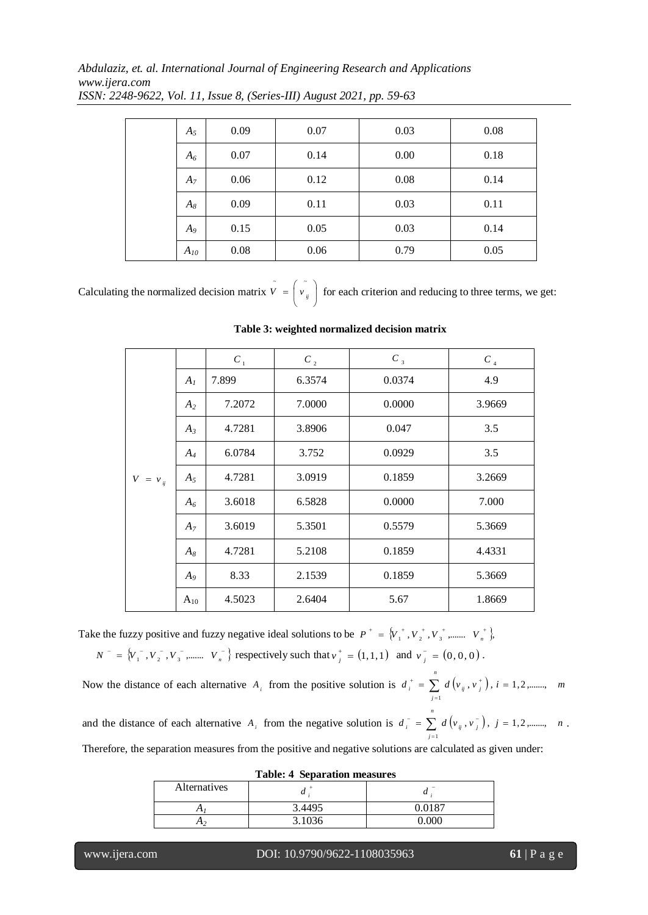*Abdulaziz, et. al. International Journal of Engineering Research and Applications www.ijera.com*

| $A_5$    | 0.09 | 0.07 | 0.03 | 0.08 |
|----------|------|------|------|------|
| $A_6$    | 0.07 | 0.14 | 0.00 | 0.18 |
| $A_7$    | 0.06 | 0.12 | 0.08 | 0.14 |
| $A_8$    | 0.09 | 0.11 | 0.03 | 0.11 |
| $A_{9}$  | 0.15 | 0.05 | 0.03 | 0.14 |
| $A_{10}$ | 0.08 | 0.06 | 0.79 | 0.05 |

*ISSN: 2248-9622, Vol. 11, Issue 8, (Series-III) August 2021, pp. 59-63*

Calculating the normalized decision matrix  $V = |v_{ij}|$ J  $\begin{pmatrix} 1 \\ v_{ij} \end{pmatrix}$ l  $\tilde{V} = \begin{pmatrix} \tilde{v} \\ \tilde{v} \\ \tilde{v} \end{pmatrix}$  for each criterion and reducing to three terms, we get:

|              |                | $C_{1}$ | $C_{2}$ | $C_{3}$ | $C_{4}$ |
|--------------|----------------|---------|---------|---------|---------|
|              | A <sub>1</sub> | 7.899   | 6.3574  | 0.0374  | 4.9     |
|              | A <sub>2</sub> | 7.2072  | 7.0000  | 0.0000  | 3.9669  |
|              | $A_3$          | 4.7281  | 3.8906  | 0.047   | 3.5     |
|              | $A_4$          | 6.0784  | 3.752   | 0.0929  | 3.5     |
| $V = v_{ii}$ | $A_5$          | 4.7281  | 3.0919  | 0.1859  | 3.2669  |
|              | $A_6$          | 3.6018  | 6.5828  | 0.0000  | 7.000   |
|              | $A_7$          | 3.6019  | 5.3501  | 0.5579  | 5.3669  |
|              | $A_8$          | 4.7281  | 5.2108  | 0.1859  | 4.4331  |
|              | $A_9$          | 8.33    | 2.1539  | 0.1859  | 5.3669  |
|              | $A_{10}$       | 4.5023  | 2.6404  | 5.67    | 1.8669  |

**Table 3: weighted normalized decision matrix**

Take the fuzzy positive and fuzzy negative ideal solutions to be  $P^+ = \{V_1^+, V_2^+, V_3^+, \dots, V_n^+\}$  $P^{\text{+}} = \{V_{1}^{\text{+}}, V_{2}^{\text{+}}, V_{3}^{\text{+}}, \dots \quad V_{n}^{\text{+}}\}$  $N^{-} = \{V_1^{-}, V_2^{-}, V_3^{-}, \dots \dots V_n^{-}\}$  respectively such that  $V_i^{+} = (1,1,1)$  $v_j^+ = (1, 1, 1)$  and  $v_j^- = (0, 0, 0)$  $v_{\,\,j}^{\,-}=\left(0,0,0\right).$ 

Now the distance of each alternative  $A_i$  from the positive solution is  $d_i^* = \sum d(v_i, v_j^*)$ ,  $i = 1, 2, \dots, m$ *n j*  $\boldsymbol{v}_i^{\text{\tiny T}} \ = \ \sum \ \, d\left(\boldsymbol{v}_{i j}^{\text{\tiny T}} \, , \boldsymbol{v}_{j}^{\text{\tiny T}} \, \right), \ i = 1, 2, \ldots \ldots \text{,}$ 1  $= \sum d(\nu_{ii}, \nu_{ii}^+)$ ,  $i =$  $\overline{a}$  $i<sup>+</sup>$  =  $\sum$ *n*

and the distance of each alternative  $A_i$  from the negative solution is  $d_i = \sum d(v_{ij}, v_i)$ ,  $j = 1, 2, \dots, n$ *j*  $\bar{i} = \sum d\left(v_{ij}, v_{j}^{-}\right), \; j = 1, 2, \ldots,$ 1  $= \sum d(v_{ij}, v_{ij}^{-})$ , j =  $\overline{a}$  $\mathbf{v}_i^{\top} = \sum d(v_{ij}, v_{j}^{\top}), j = 1, 2, \dots, n$ 

Therefore, the separation measures from the positive and negative solutions are calculated as given under:

|              | ----------<br>--<br>--- -- -- -- -- --- - --- - -- - |        |
|--------------|------------------------------------------------------|--------|
| Alternatives | u                                                    |        |
| 41           | 3.4495                                               | 0.0187 |
|              | 3.1036                                               |        |
|              |                                                      |        |

|  | <b>Table: 4 Separation measures</b> |  |
|--|-------------------------------------|--|
|--|-------------------------------------|--|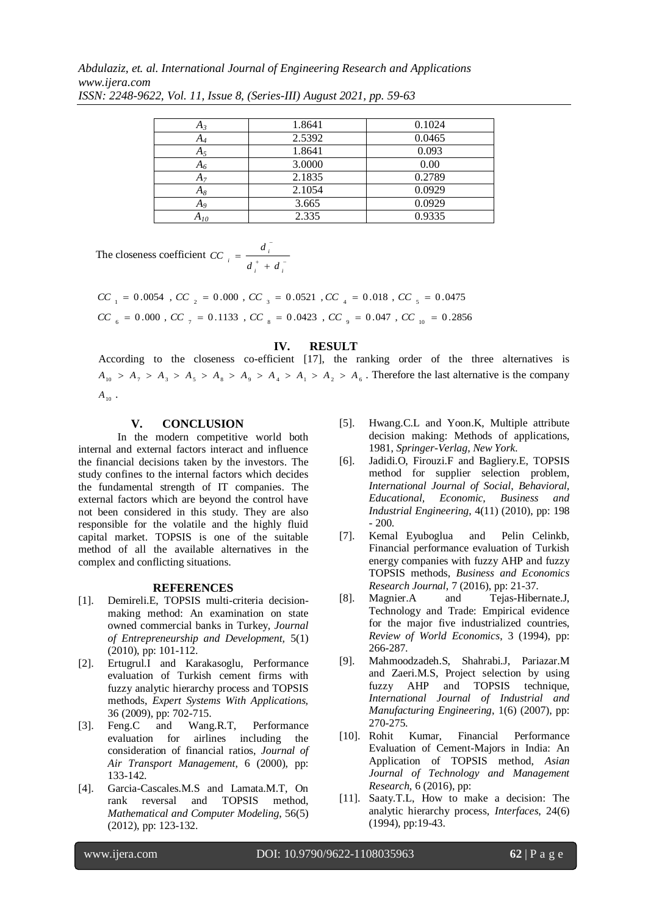*Abdulaziz, et. al. International Journal of Engineering Research and Applications www.ijera.com*

| $A_3$    | 1.8641 | 0.1024 |
|----------|--------|--------|
| A4       | 2.5392 | 0.0465 |
| $A_5$    | 1.8641 | 0.093  |
| $A_6$    | 3.0000 | 0.00   |
| $A_7$    | 2.1835 | 0.2789 |
| $A_8$    | 2.1054 | 0.0929 |
| $A_{9}$  | 3.665  | 0.0929 |
| $A_{10}$ | 2.335  | 0.9335 |

*ISSN: 2248-9622, Vol. 11, Issue 8, (Series-III) August 2021, pp. 59-63*

The closeness coefficient  $CC_i = \frac{a_i}{t_i}$  $\overline{a}$  $^{+}$  $=$ *i i i*  $d_i^+$  +  $d$ *d CC*

 $CC_{6}$  = 0.000 ,  $CC_{7}$  = 0.1133 ,  $CC_{8}$  = 0.0423 ,  $CC_{9}$  = 0.047 ,  $CC_{10}$  = 0.2856  $CC_{1}$  =  $0.0054$  ,  $CC_{2}$  =  $0.000$  ,  $CC_{3}$  =  $0.0521$  ,  $CC_{4}$  =  $0.018$  ,  $CC_{5}$  =  $0.0475$ 

### **IV. RESULT**

According to the closeness co-efficient [17], the ranking order of the three alternatives is  $A_{10} > A_7 > A_3 > A_5 > A_8 > A_9 > A_4 > A_1 > A_2 > A_6$ . Therefore the last alternative is the company  $A_{10}$ .

### **V. CONCLUSION**

In the modern competitive world both internal and external factors interact and influence the financial decisions taken by the investors. The study confines to the internal factors which decides the fundamental strength of IT companies. The external factors which are beyond the control have not been considered in this study. They are also responsible for the volatile and the highly fluid capital market. TOPSIS is one of the suitable method of all the available alternatives in the complex and conflicting situations.

### **REFERENCES**

- [1]. Demireli.E, TOPSIS multi-criteria decisionmaking method: An examination on state owned commercial banks in Turkey, *Journal of Entrepreneurship and Development,* 5(1) (2010), pp: 101-112.
- [2]. Ertugrul.I and Karakasoglu, Performance evaluation of Turkish cement firms with fuzzy analytic hierarchy process and TOPSIS methods, *Expert Systems With Applications,* 36 (2009), pp: 702-715.
- [3]. Feng.C and Wang.R.T, Performance evaluation for airlines including the consideration of financial ratios, *Journal of Air Transport Management*, 6 (2000), pp: 133-142.
- [4]. Garcia-Cascales.M.S and Lamata.M.T, On rank reversal and TOPSIS method, *Mathematical and Computer Modeling*, 56(5) (2012), pp: 123-132.
- [5]. Hwang.C.L and Yoon.K, Multiple attribute decision making: Methods of applications, 1981, *Springer-Verlag, New York.*
- [6]. Jadidi.O, Firouzi.F and Bagliery.E, TOPSIS method for supplier selection problem, *International Journal of Social*, *Behavioral, Educational, Economic, Business and Industrial Engineering*, 4(11) (2010), pp: 198 - 200.
- [7]. Kemal Eyuboglua and Pelin Celinkb, Financial performance evaluation of Turkish energy companies with fuzzy AHP and fuzzy TOPSIS methods, *Business and Economics Research Journal*, 7 (2016), pp: 21-37.
- [8]. Magnier.A and Tejas-Hibernate.J, Technology and Trade: Empirical evidence for the major five industrialized countries, *Review of World Economics*, 3 (1994), pp: 266-287.
- [9]. Mahmoodzadeh.S, Shahrabi.J, Pariazar.M and Zaeri.M.S, Project selection by using fuzzy AHP and TOPSIS technique, *International Journal of Industrial and Manufacturing Engineering*, 1(6) (2007), pp: 270-275.
- [10]. Rohit Kumar, Financial Performance Evaluation of Cement-Majors in India: An Application of TOPSIS method, *Asian Journal of Technology and Management Research*, 6 (2016), pp:
- [11]. Saaty.T.L, How to make a decision: The analytic hierarchy process, *Interfaces*, 24(6) (1994), pp:19-43.